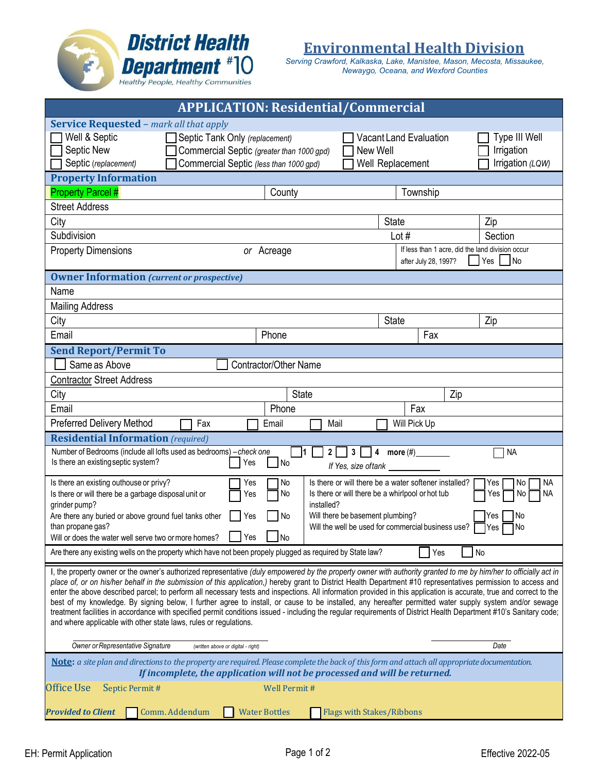

## **Environmental Health Division**

*Serving Crawford, Kalkaska, Lake, Manistee, Mason, Mecosta, Missaukee, Newaygo, Oceana, and Wexford Counties*

|                                                                                                                                                                                                                                                                                                                                                                                                                                                                                                                                                                                                                                                                                                                                                                                                                                                                                                                                                                                                                                                                                                                                                                                                                                                                                                                                                                                                                                                                                                                                                                                                                                                                                                                                                                                                                                                                        |                      |                                  | Type III Well<br>Vacant Land Evaluation |                                                                                    |  |  |  |
|------------------------------------------------------------------------------------------------------------------------------------------------------------------------------------------------------------------------------------------------------------------------------------------------------------------------------------------------------------------------------------------------------------------------------------------------------------------------------------------------------------------------------------------------------------------------------------------------------------------------------------------------------------------------------------------------------------------------------------------------------------------------------------------------------------------------------------------------------------------------------------------------------------------------------------------------------------------------------------------------------------------------------------------------------------------------------------------------------------------------------------------------------------------------------------------------------------------------------------------------------------------------------------------------------------------------------------------------------------------------------------------------------------------------------------------------------------------------------------------------------------------------------------------------------------------------------------------------------------------------------------------------------------------------------------------------------------------------------------------------------------------------------------------------------------------------------------------------------------------------|----------------------|----------------------------------|-----------------------------------------|------------------------------------------------------------------------------------|--|--|--|
| <b>APPLICATION: Residential/Commercial</b><br><b>Service Requested - mark all that apply</b><br>Well & Septic<br>Septic Tank Only (replacement)<br>Septic New<br>Commercial Septic (greater than 1000 gpd)<br>New Well<br>Septic (replacement)<br>Commercial Septic (less than 1000 gpd)<br><b>Property Information</b><br><b>Property Parcel #</b><br>County<br><b>Street Address</b><br>City<br>Subdivision<br><b>Property Dimensions</b><br>or Acreage<br><b>Owner Information (current or prospective)</b><br>Name<br><b>Mailing Address</b><br>City<br>Email<br>Phone<br><b>Send Report/Permit To</b><br>Same as Above<br><b>Contractor/Other Name</b><br><b>Contractor Street Address</b><br><b>State</b><br>City<br>Email<br>Phone<br><b>Preferred Delivery Method</b><br>Fax<br>Mail<br>Email<br><b>Residential Information</b> (required)<br>Number of Bedrooms (include all lofts used as bedrooms) - check one<br>2 <sup>2</sup><br><b>∃1</b><br>Is there an existing septic system?<br>No<br>Yes<br>Is there or will there be a water softener installed?<br>Is there an existing outhouse or privy?<br>No<br>Yes<br>  No<br>Is there or will there be a garbage disposal unit or<br>Is there or will there be a whirlpool or hot tub<br>Yes<br>installed?<br>grinder pump?<br>Will there be basement plumbing?<br>Are there any buried or above ground fuel tanks other<br>No<br>Yes<br>than propane gas?<br>Will the well be used for commercial business use?<br>Yes<br>No<br>Will or does the water well serve two or more homes?<br>Are there any existing wells on the property which have not been propely plugged as required by State law?<br>and where applicable with other state laws, rules or regulations.<br>Owner or Representative Signature<br>(written above or digital - right)<br><b>Office Use</b><br>Septic Permit#<br>Well Permit# |                      |                                  |                                         | Irrigation                                                                         |  |  |  |
|                                                                                                                                                                                                                                                                                                                                                                                                                                                                                                                                                                                                                                                                                                                                                                                                                                                                                                                                                                                                                                                                                                                                                                                                                                                                                                                                                                                                                                                                                                                                                                                                                                                                                                                                                                                                                                                                        |                      | Well Replacement                 |                                         | Irrigation (LQW)                                                                   |  |  |  |
|                                                                                                                                                                                                                                                                                                                                                                                                                                                                                                                                                                                                                                                                                                                                                                                                                                                                                                                                                                                                                                                                                                                                                                                                                                                                                                                                                                                                                                                                                                                                                                                                                                                                                                                                                                                                                                                                        |                      |                                  |                                         |                                                                                    |  |  |  |
|                                                                                                                                                                                                                                                                                                                                                                                                                                                                                                                                                                                                                                                                                                                                                                                                                                                                                                                                                                                                                                                                                                                                                                                                                                                                                                                                                                                                                                                                                                                                                                                                                                                                                                                                                                                                                                                                        |                      |                                  | Township                                |                                                                                    |  |  |  |
|                                                                                                                                                                                                                                                                                                                                                                                                                                                                                                                                                                                                                                                                                                                                                                                                                                                                                                                                                                                                                                                                                                                                                                                                                                                                                                                                                                                                                                                                                                                                                                                                                                                                                                                                                                                                                                                                        |                      |                                  |                                         |                                                                                    |  |  |  |
|                                                                                                                                                                                                                                                                                                                                                                                                                                                                                                                                                                                                                                                                                                                                                                                                                                                                                                                                                                                                                                                                                                                                                                                                                                                                                                                                                                                                                                                                                                                                                                                                                                                                                                                                                                                                                                                                        |                      |                                  | <b>State</b>                            | Zip                                                                                |  |  |  |
|                                                                                                                                                                                                                                                                                                                                                                                                                                                                                                                                                                                                                                                                                                                                                                                                                                                                                                                                                                                                                                                                                                                                                                                                                                                                                                                                                                                                                                                                                                                                                                                                                                                                                                                                                                                                                                                                        |                      |                                  | Lot $#$                                 | Section                                                                            |  |  |  |
|                                                                                                                                                                                                                                                                                                                                                                                                                                                                                                                                                                                                                                                                                                                                                                                                                                                                                                                                                                                                                                                                                                                                                                                                                                                                                                                                                                                                                                                                                                                                                                                                                                                                                                                                                                                                                                                                        |                      |                                  |                                         | If less than 1 acre, did the land division occur<br>Yes No<br>after July 28, 1997? |  |  |  |
|                                                                                                                                                                                                                                                                                                                                                                                                                                                                                                                                                                                                                                                                                                                                                                                                                                                                                                                                                                                                                                                                                                                                                                                                                                                                                                                                                                                                                                                                                                                                                                                                                                                                                                                                                                                                                                                                        |                      |                                  |                                         |                                                                                    |  |  |  |
|                                                                                                                                                                                                                                                                                                                                                                                                                                                                                                                                                                                                                                                                                                                                                                                                                                                                                                                                                                                                                                                                                                                                                                                                                                                                                                                                                                                                                                                                                                                                                                                                                                                                                                                                                                                                                                                                        |                      |                                  |                                         |                                                                                    |  |  |  |
|                                                                                                                                                                                                                                                                                                                                                                                                                                                                                                                                                                                                                                                                                                                                                                                                                                                                                                                                                                                                                                                                                                                                                                                                                                                                                                                                                                                                                                                                                                                                                                                                                                                                                                                                                                                                                                                                        |                      |                                  |                                         |                                                                                    |  |  |  |
|                                                                                                                                                                                                                                                                                                                                                                                                                                                                                                                                                                                                                                                                                                                                                                                                                                                                                                                                                                                                                                                                                                                                                                                                                                                                                                                                                                                                                                                                                                                                                                                                                                                                                                                                                                                                                                                                        |                      |                                  | <b>State</b>                            | Zip                                                                                |  |  |  |
|                                                                                                                                                                                                                                                                                                                                                                                                                                                                                                                                                                                                                                                                                                                                                                                                                                                                                                                                                                                                                                                                                                                                                                                                                                                                                                                                                                                                                                                                                                                                                                                                                                                                                                                                                                                                                                                                        |                      |                                  |                                         | Fax                                                                                |  |  |  |
|                                                                                                                                                                                                                                                                                                                                                                                                                                                                                                                                                                                                                                                                                                                                                                                                                                                                                                                                                                                                                                                                                                                                                                                                                                                                                                                                                                                                                                                                                                                                                                                                                                                                                                                                                                                                                                                                        |                      |                                  |                                         |                                                                                    |  |  |  |
|                                                                                                                                                                                                                                                                                                                                                                                                                                                                                                                                                                                                                                                                                                                                                                                                                                                                                                                                                                                                                                                                                                                                                                                                                                                                                                                                                                                                                                                                                                                                                                                                                                                                                                                                                                                                                                                                        |                      |                                  |                                         |                                                                                    |  |  |  |
|                                                                                                                                                                                                                                                                                                                                                                                                                                                                                                                                                                                                                                                                                                                                                                                                                                                                                                                                                                                                                                                                                                                                                                                                                                                                                                                                                                                                                                                                                                                                                                                                                                                                                                                                                                                                                                                                        |                      |                                  |                                         |                                                                                    |  |  |  |
|                                                                                                                                                                                                                                                                                                                                                                                                                                                                                                                                                                                                                                                                                                                                                                                                                                                                                                                                                                                                                                                                                                                                                                                                                                                                                                                                                                                                                                                                                                                                                                                                                                                                                                                                                                                                                                                                        |                      |                                  |                                         | Zip                                                                                |  |  |  |
|                                                                                                                                                                                                                                                                                                                                                                                                                                                                                                                                                                                                                                                                                                                                                                                                                                                                                                                                                                                                                                                                                                                                                                                                                                                                                                                                                                                                                                                                                                                                                                                                                                                                                                                                                                                                                                                                        |                      |                                  | Fax                                     |                                                                                    |  |  |  |
|                                                                                                                                                                                                                                                                                                                                                                                                                                                                                                                                                                                                                                                                                                                                                                                                                                                                                                                                                                                                                                                                                                                                                                                                                                                                                                                                                                                                                                                                                                                                                                                                                                                                                                                                                                                                                                                                        |                      |                                  | Will Pick Up                            |                                                                                    |  |  |  |
|                                                                                                                                                                                                                                                                                                                                                                                                                                                                                                                                                                                                                                                                                                                                                                                                                                                                                                                                                                                                                                                                                                                                                                                                                                                                                                                                                                                                                                                                                                                                                                                                                                                                                                                                                                                                                                                                        |                      |                                  |                                         |                                                                                    |  |  |  |
|                                                                                                                                                                                                                                                                                                                                                                                                                                                                                                                                                                                                                                                                                                                                                                                                                                                                                                                                                                                                                                                                                                                                                                                                                                                                                                                                                                                                                                                                                                                                                                                                                                                                                                                                                                                                                                                                        |                      | If Yes, size oftank              |                                         | <b>NA</b>                                                                          |  |  |  |
|                                                                                                                                                                                                                                                                                                                                                                                                                                                                                                                                                                                                                                                                                                                                                                                                                                                                                                                                                                                                                                                                                                                                                                                                                                                                                                                                                                                                                                                                                                                                                                                                                                                                                                                                                                                                                                                                        |                      |                                  |                                         | <b>NA</b><br>No<br>Yes<br><b>NA</b><br>No<br>Yes                                   |  |  |  |
|                                                                                                                                                                                                                                                                                                                                                                                                                                                                                                                                                                                                                                                                                                                                                                                                                                                                                                                                                                                                                                                                                                                                                                                                                                                                                                                                                                                                                                                                                                                                                                                                                                                                                                                                                                                                                                                                        |                      |                                  |                                         | Yes<br><b>No</b><br>1No<br>¶Yes                                                    |  |  |  |
|                                                                                                                                                                                                                                                                                                                                                                                                                                                                                                                                                                                                                                                                                                                                                                                                                                                                                                                                                                                                                                                                                                                                                                                                                                                                                                                                                                                                                                                                                                                                                                                                                                                                                                                                                                                                                                                                        |                      |                                  |                                         | No<br>Yes                                                                          |  |  |  |
| I, the property owner or the owner's authorized representative (duly empowered by the property owner with authority granted to me by him/her to officially act in<br>place of, or on his/her behalf in the submission of this application,) hereby grant to District Health Department #10 representatives permission to access and<br>enter the above described parcel; to perform all necessary tests and inspections. All information provided in this application is accurate, true and correct to the<br>best of my knowledge. By signing below, I further agree to install, or cause to be installed, any hereafter permitted water supply system and/or sewage<br>treatment facilities in accordance with specified permit conditions issued - including the regular requirements of District Health Department #10's Sanitary code;                                                                                                                                                                                                                                                                                                                                                                                                                                                                                                                                                                                                                                                                                                                                                                                                                                                                                                                                                                                                                            |                      |                                  |                                         |                                                                                    |  |  |  |
|                                                                                                                                                                                                                                                                                                                                                                                                                                                                                                                                                                                                                                                                                                                                                                                                                                                                                                                                                                                                                                                                                                                                                                                                                                                                                                                                                                                                                                                                                                                                                                                                                                                                                                                                                                                                                                                                        |                      |                                  |                                         | Date                                                                               |  |  |  |
| Note: a site plan and directions to the property are required. Please complete the back of this form and attach all appropriate documentation.<br>If incomplete, the application will not be processed and will be returned.                                                                                                                                                                                                                                                                                                                                                                                                                                                                                                                                                                                                                                                                                                                                                                                                                                                                                                                                                                                                                                                                                                                                                                                                                                                                                                                                                                                                                                                                                                                                                                                                                                           |                      |                                  |                                         |                                                                                    |  |  |  |
|                                                                                                                                                                                                                                                                                                                                                                                                                                                                                                                                                                                                                                                                                                                                                                                                                                                                                                                                                                                                                                                                                                                                                                                                                                                                                                                                                                                                                                                                                                                                                                                                                                                                                                                                                                                                                                                                        |                      |                                  |                                         |                                                                                    |  |  |  |
| Comm. Addendum<br><b>Provided to Client</b>                                                                                                                                                                                                                                                                                                                                                                                                                                                                                                                                                                                                                                                                                                                                                                                                                                                                                                                                                                                                                                                                                                                                                                                                                                                                                                                                                                                                                                                                                                                                                                                                                                                                                                                                                                                                                            | <b>Water Bottles</b> | <b>Flags with Stakes/Ribbons</b> |                                         |                                                                                    |  |  |  |